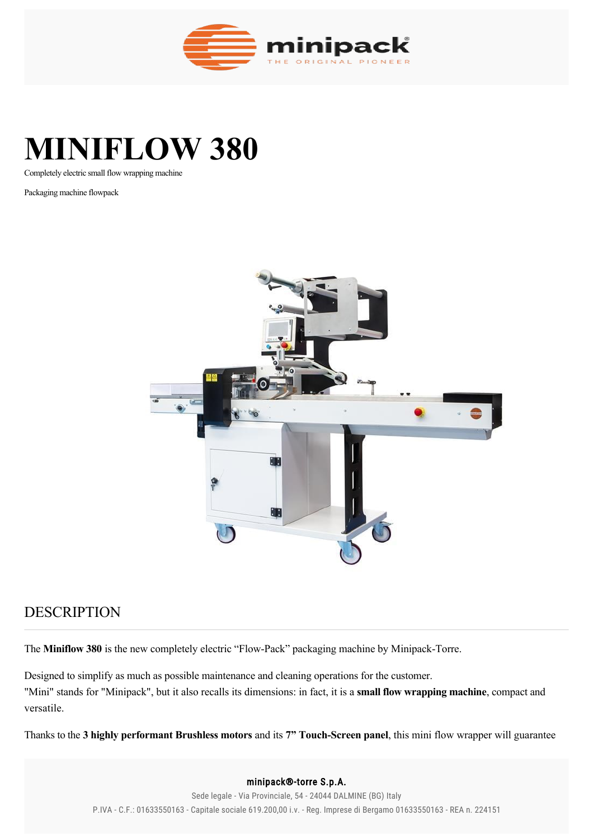

# **MINIFLOW 380**

Completely electric small flow wrapping machine

Packaging machine flowpack



## DESCRIPTION

The **Miniflow 380** is the new completely electric "Flow-Pack" packaging machine by Minipack-Torre.

Designed to simplify as much as possible maintenance and cleaning operations for the customer. "Mini" stands for "Minipack", but it also recalls its dimensions: in fact, it is a **small flow wrapping machine**, compact and versatile.

Thanks to the 3 highly performant Brushless motors and its 7" Touch-Screen panel, this mini flow wrapper will guarantee

### minipack®-torre S.p.A. **Great performances in a small flow wrapping machine** P.IVA - C.F.: 01633550163 - Capitale sociale 619.200,00 i.v. - Reg. Imprese di Bergamo 01633550163 - REA n. 224151Sede legale - Via Provinciale, 54 - 24044 DALMINE (BG) Italy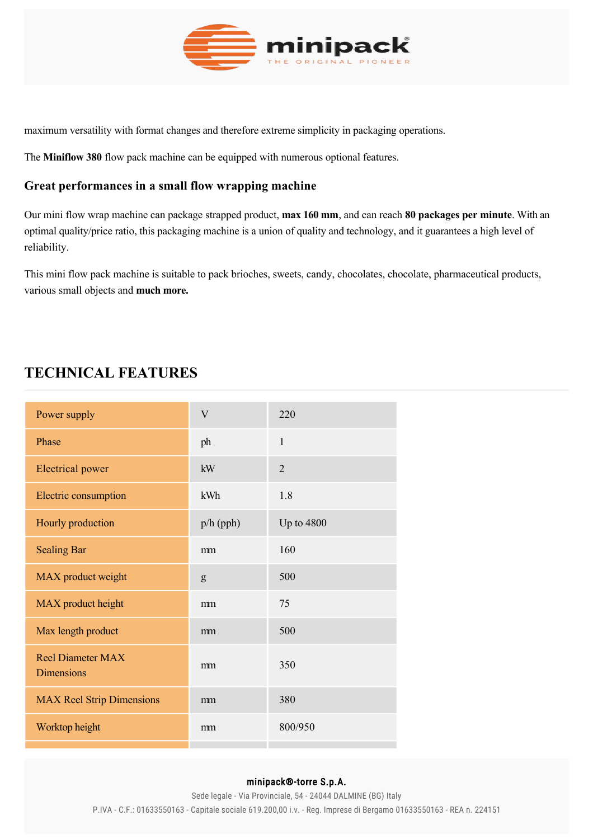

maximum versatility with format changes and therefore extreme simplicity in packaging operations.

The **Miniflow 380** flow pack machine can be equipped with numerous optional features.

## **Great performances in a small flow wrapping machine**

Our mini flow wrap machine can package strapped product, **max 160 mm**, and can reach **80 packages per minute**. With an optimal quality/price ratio, this packaging machine is a union of quality and technology, and it guarantees a high level of reliability.

This mini flow pack machine is suitable to pack brioches, sweets, candy, chocolates, chocolate, pharmaceutical products, various small objects and **much more.**

# **TECHNICAL FEATURES**

| Power supply                                  | V           | 220            |
|-----------------------------------------------|-------------|----------------|
| Phase                                         | ph          | $\mathbf{1}$   |
| <b>Electrical</b> power                       | kW          | $\overline{2}$ |
| Electric consumption                          | kWh         | 1.8            |
| Hourly production                             | $p/h$ (pph) | Up to $4800$   |
| <b>Sealing Bar</b>                            | mm          | 160            |
| MAX product weight                            | g           | 500            |
| MAX product height                            | mm          | 75             |
| Max length product                            | mm          | 500            |
| <b>Reel Diameter MAX</b><br><b>Dimensions</b> | mm          | 350            |
| <b>MAX Reel Strip Dimensions</b>              | mm          | 380            |
| Worktop height                                | mm          | 800/950        |

#### minipack®-torre S.p.A.